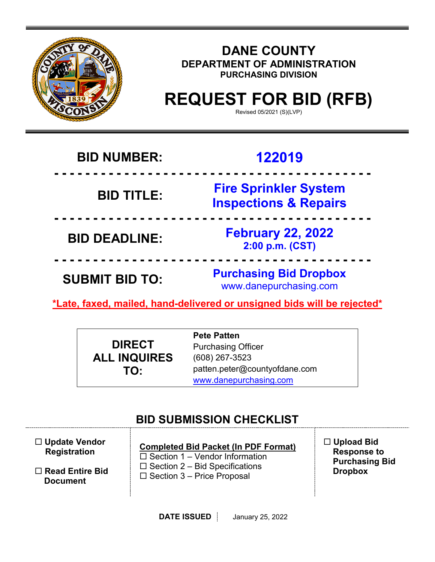

## **DANE COUNTY DEPARTMENT OF ADMINISTRATION PURCHASING DIVISION**

# **REQUEST FOR BID (RFB)**

Revised 05/2021 (S)(LVP)

## **BID NUMBER: 122019**

## **- - - - - - - - - - - - - - - - - - - - - - - - - - - - - - - - - - - - - - - - - BID TITLE: Fire Sprinkler System Inspections & Repairs**

**BID DEADLINE: February 22, 2022 2:00 p.m. (CST)**

**SUBMIT BID TO: Purchasing Bid Dropbox** www.danepurchasing.com

**\*Late, faxed, mailed, hand-delivered or unsigned bids will be rejected\*** 

 **- - - - - - - - - - - - - - - - - - - - - - - - - - - - - - - - - - - - - - - - -**

 **- - - - - - - - - - - - - - - - - - - - - - - - - - - - - - - - - - - - - - - - -**

|                     | <b>Pete Patten</b>            |
|---------------------|-------------------------------|
| <b>DIRECT</b>       | <b>Purchasing Officer</b>     |
| <b>ALL INQUIRES</b> | $(608)$ 267-3523              |
| TO:                 | patten.peter@countyofdane.com |
|                     | www.danepurchasing.com        |

## **BID SUBMISSION CHECKLIST**

 **Update Vendor Registration**

 **Read Entire Bid Document**

**Completed Bid Packet (In PDF Format)**  $\square$  Section 1 – Vendor Information  $\square$  Section 2 – Bid Specifications  $\square$  Section 3 – Price Proposal

 **Upload Bid Response to Purchasing Bid Dropbox**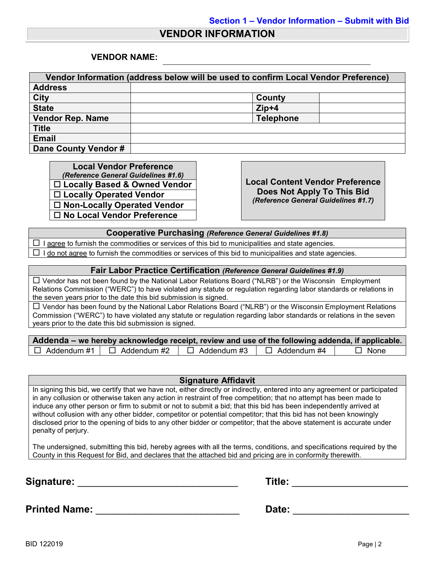#### **VENDOR INFORMATION**

#### **VENDOR NAME:**

| Vendor Information (address below will be used to confirm Local Vendor Preference) |                  |  |  |  |
|------------------------------------------------------------------------------------|------------------|--|--|--|
| <b>Address</b>                                                                     |                  |  |  |  |
| <b>City</b>                                                                        | County           |  |  |  |
| <b>State</b>                                                                       | $Zip+4$          |  |  |  |
| <b>Vendor Rep. Name</b>                                                            | <b>Telephone</b> |  |  |  |
| <b>Title</b>                                                                       |                  |  |  |  |
| <b>Email</b>                                                                       |                  |  |  |  |
| Dane County Vendor #                                                               |                  |  |  |  |

**Local Vendor Preference**<br>(*Reference General Guidelines #1.6*) *(Reference General Guidelines #1.6)* **Local Content Vendor Preference Locally Based & Owned Vendor Locally Operated Vendor Non-Locally Operated Vendor No Local Vendor Preference**

**Does Not Apply To This Bid** *(Reference General Guidelines #1.7)*

**Cooperative Purchasing** *(Reference General Guidelines #1.8)*

 $\Box$  I agree to furnish the commodities or services of this bid to municipalities and state agencies.  $\Box$  I do not agree to furnish the commodities or services of this bid to municipalities and state agencies.

#### **Fair Labor Practice Certification** *(Reference General Guidelines #1.9)*

 Vendor has not been found by the National Labor Relations Board ("NLRB") or the Wisconsin Employment Relations Commission ("WERC") to have violated any statute or regulation regarding labor standards or relations in the seven years prior to the date this bid submission is signed.

 $\Box$  Vendor has been found by the National Labor Relations Board ("NLRB") or the Wisconsin Employment Relations Commission ("WERC") to have violated any statute or regulation regarding labor standards or relations in the seven years prior to the date this bid submission is signed.

| Addenda – we hereby acknowledge receipt, review and use of the following addenda, if applicable. |                    |                    |             |
|--------------------------------------------------------------------------------------------------|--------------------|--------------------|-------------|
| $\Box$ Addendum #1 $\Box$ Addendum #2                                                            | $\Box$ Addendum #3 | $\Box$ Addendum #4 | $\Box$ None |

#### **Signature Affidavit**

In signing this bid, we certify that we have not, either directly or indirectly, entered into any agreement or participated in any collusion or otherwise taken any action in restraint of free competition; that no attempt has been made to induce any other person or firm to submit or not to submit a bid; that this bid has been independently arrived at without collusion with any other bidder, competitor or potential competitor; that this bid has not been knowingly disclosed prior to the opening of bids to any other bidder or competitor; that the above statement is accurate under penalty of perjury.

The undersigned, submitting this bid, hereby agrees with all the terms, conditions, and specifications required by the County in this Request for Bid, and declares that the attached bid and pricing are in conformity therewith.

**Signature:** \_\_\_\_\_\_\_\_\_\_\_\_\_\_\_\_\_\_\_\_\_\_\_\_\_\_\_\_\_ **Title:** \_\_\_\_\_\_\_\_\_\_\_\_\_\_\_\_\_\_\_\_\_

| Title: |  |
|--------|--|
|        |  |

**Printed Name:** \_\_\_\_\_\_\_\_\_\_\_\_\_\_\_\_\_\_\_\_\_\_\_\_\_\_ **Date:** \_\_\_\_\_\_\_\_\_\_\_\_\_\_\_\_\_\_\_\_\_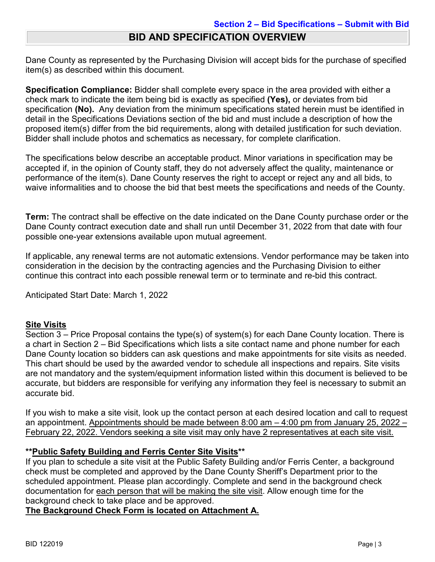## Dane County as represented by the Purchasing Division will accept bids for the purchase of specified item(s) as described within this document.

**Specification Compliance:** Bidder shall complete every space in the area provided with either a check mark to indicate the item being bid is exactly as specified **(Yes),** or deviates from bid specification **(No).** Any deviation from the minimum specifications stated herein must be identified in detail in the Specifications Deviations section of the bid and must include a description of how the proposed item(s) differ from the bid requirements, along with detailed justification for such deviation. Bidder shall include photos and schematics as necessary, for complete clarification.

The specifications below describe an acceptable product. Minor variations in specification may be accepted if, in the opinion of County staff, they do not adversely affect the quality, maintenance or performance of the item(s). Dane County reserves the right to accept or reject any and all bids, to waive informalities and to choose the bid that best meets the specifications and needs of the County.

**Term:** The contract shall be effective on the date indicated on the Dane County purchase order or the Dane County contract execution date and shall run until December 31, 2022 from that date with four possible one-year extensions available upon mutual agreement.

If applicable, any renewal terms are not automatic extensions. Vendor performance may be taken into consideration in the decision by the contracting agencies and the Purchasing Division to either continue this contract into each possible renewal term or to terminate and re-bid this contract.

Anticipated Start Date: March 1, 2022

#### **Site Visits**

Section 3 – Price Proposal contains the type(s) of system(s) for each Dane County location. There is a chart in Section 2 – Bid Specifications which lists a site contact name and phone number for each Dane County location so bidders can ask questions and make appointments for site visits as needed. This chart should be used by the awarded vendor to schedule all inspections and repairs. Site visits are not mandatory and the system/equipment information listed within this document is believed to be accurate, but bidders are responsible for verifying any information they feel is necessary to submit an accurate bid.

If you wish to make a site visit, look up the contact person at each desired location and call to request an appointment. Appointments should be made between 8:00 am – 4:00 pm from January 25, 2022 – February 22, 2022. Vendors seeking a site visit may only have 2 representatives at each site visit.

#### **\*\*Public Safety Building and Ferris Center Site Visits\*\***

If you plan to schedule a site visit at the Public Safety Building and/or Ferris Center, a background check must be completed and approved by the Dane County Sheriff's Department prior to the scheduled appointment. Please plan accordingly. Complete and send in the background check documentation for each person that will be making the site visit. Allow enough time for the background check to take place and be approved.

**The Background Check Form is located on Attachment A.**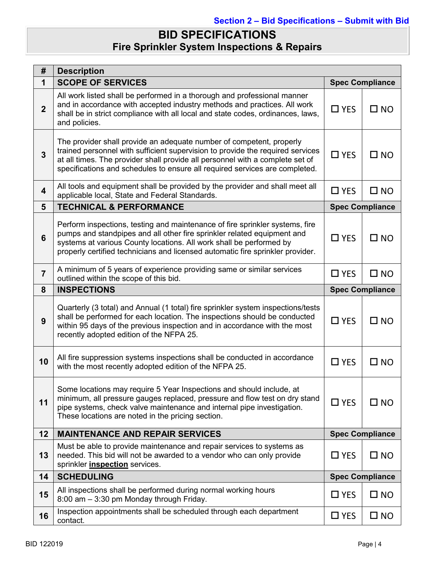## **BID SPECIFICATIONS Fire Sprinkler System Inspections & Repairs**

| #              | <b>Description</b>                                                                                                                                                                                                                                                                                                     |                        |                        |  |
|----------------|------------------------------------------------------------------------------------------------------------------------------------------------------------------------------------------------------------------------------------------------------------------------------------------------------------------------|------------------------|------------------------|--|
| 1              | <b>SCOPE OF SERVICES</b>                                                                                                                                                                                                                                                                                               |                        | <b>Spec Compliance</b> |  |
| $\overline{2}$ | All work listed shall be performed in a thorough and professional manner<br>and in accordance with accepted industry methods and practices. All work<br>shall be in strict compliance with all local and state codes, ordinances, laws,<br>and policies.                                                               | $\square$ YES          | $\square$ NO           |  |
| $\overline{3}$ | The provider shall provide an adequate number of competent, properly<br>trained personnel with sufficient supervision to provide the required services<br>at all times. The provider shall provide all personnel with a complete set of<br>specifications and schedules to ensure all required services are completed. | $\square$ YES          | $\square$ NO           |  |
| 4              | All tools and equipment shall be provided by the provider and shall meet all<br>applicable local, State and Federal Standards.                                                                                                                                                                                         | $\Box$ YES             | $\square$ NO           |  |
| 5              | <b>TECHNICAL &amp; PERFORMANCE</b>                                                                                                                                                                                                                                                                                     | <b>Spec Compliance</b> |                        |  |
| 6              | Perform inspections, testing and maintenance of fire sprinkler systems, fire<br>pumps and standpipes and all other fire sprinkler related equipment and<br>systems at various County locations. All work shall be performed by<br>properly certified technicians and licensed automatic fire sprinkler provider.       | $\square$ YES          | $\square$ NO           |  |
| $\overline{7}$ | A minimum of 5 years of experience providing same or similar services<br>outlined within the scope of this bid.                                                                                                                                                                                                        | $\Box$ YES             | $\square$ NO           |  |
| 8              | <b>INSPECTIONS</b>                                                                                                                                                                                                                                                                                                     | <b>Spec Compliance</b> |                        |  |
| 9              | Quarterly (3 total) and Annual (1 total) fire sprinkler system inspections/tests<br>shall be performed for each location. The inspections should be conducted<br>within 95 days of the previous inspection and in accordance with the most<br>recently adopted edition of the NFPA 25.                                 | $\Box$ YES             | $\square$ NO           |  |
| 10             | All fire suppression systems inspections shall be conducted in accordance<br>with the most recently adopted edition of the NFPA 25.                                                                                                                                                                                    | $\square$ YES          | $\square$ NO           |  |
| 11             | Some locations may require 5 Year Inspections and should include, at<br>minimum, all pressure gauges replaced, pressure and flow test on dry stand<br>pipe systems, check valve maintenance and internal pipe investigation.<br>These locations are noted in the pricing section.                                      | $\Box$ YES             | $\square$ NO           |  |
| 12             | <b>MAINTENANCE AND REPAIR SERVICES</b>                                                                                                                                                                                                                                                                                 |                        | <b>Spec Compliance</b> |  |
| 13             | Must be able to provide maintenance and repair services to systems as<br>needed. This bid will not be awarded to a vendor who can only provide<br>sprinkler <i>inspection</i> services.                                                                                                                                | $\Box$ YES             | $\square$ NO           |  |
| 14             | <b>SCHEDULING</b>                                                                                                                                                                                                                                                                                                      |                        | <b>Spec Compliance</b> |  |
| 15             | All inspections shall be performed during normal working hours<br>8:00 am - 3:30 pm Monday through Friday.                                                                                                                                                                                                             | $\square$ YES          | $\square$ NO           |  |
| 16             | Inspection appointments shall be scheduled through each department<br>contact.                                                                                                                                                                                                                                         | $\square$ YES          | $\square$ NO           |  |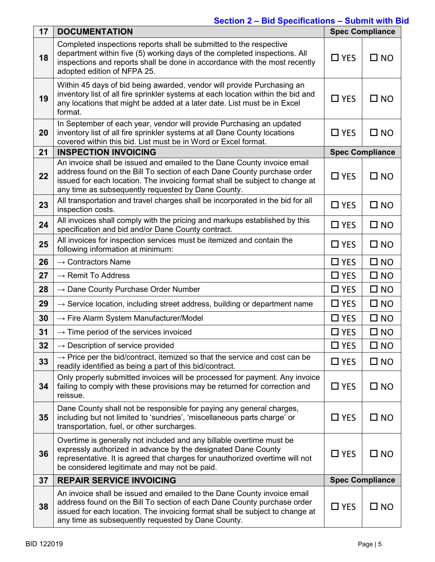| 17 | <b>DOCUMENTATION</b>                                                                                                                                                                                                                                                                     | <b>Spec Compliance</b> |                        |
|----|------------------------------------------------------------------------------------------------------------------------------------------------------------------------------------------------------------------------------------------------------------------------------------------|------------------------|------------------------|
| 18 | Completed inspections reports shall be submitted to the respective<br>department within five (5) working days of the completed inspections. All<br>inspections and reports shall be done in accordance with the most recently<br>adopted edition of NFPA 25.                             | $\square$ YES          | $\square$ NO           |
| 19 | Within 45 days of bid being awarded, vendor will provide Purchasing an<br>inventory list of all fire sprinkler systems at each location within the bid and<br>any locations that might be added at a later date. List must be in Excel<br>format.                                        | $\Box$ YES             | $\square$ NO           |
| 20 | In September of each year, vendor will provide Purchasing an updated<br>inventory list of all fire sprinkler systems at all Dane County locations<br>covered within this bid. List must be in Word or Excel format.                                                                      | $\Box$ YES             | $\square$ NO           |
| 21 | <b>INSPECTION INVOICING</b>                                                                                                                                                                                                                                                              |                        | <b>Spec Compliance</b> |
| 22 | An invoice shall be issued and emailed to the Dane County invoice email<br>address found on the Bill To section of each Dane County purchase order<br>issued for each location. The invoicing format shall be subject to change at<br>any time as subsequently requested by Dane County. | $\Box$ YES             | $\square$ NO           |
| 23 | All transportation and travel charges shall be incorporated in the bid for all<br>inspection costs.                                                                                                                                                                                      | $\Box$ YES             | $\square$ NO           |
| 24 | All invoices shall comply with the pricing and markups established by this<br>specification and bid and/or Dane County contract.                                                                                                                                                         | $\Box$ YES             | $\square$ NO           |
| 25 | All invoices for inspection services must be itemized and contain the<br>following information at minimum:                                                                                                                                                                               | $\Box$ YES             | $\square$ NO           |
| 26 | $\rightarrow$ Contractors Name                                                                                                                                                                                                                                                           | $\Box$ YES             | $\square$ NO           |
| 27 | $\rightarrow$ Remit To Address                                                                                                                                                                                                                                                           | $\Box$ YES             | $\square$ NO           |
| 28 | $\rightarrow$ Dane County Purchase Order Number                                                                                                                                                                                                                                          | $\Box$ YES             | $\square$ NO           |
| 29 | $\rightarrow$ Service location, including street address, building or department name                                                                                                                                                                                                    | $\Box$ YES             | $\square$ NO           |
| 30 | $\rightarrow$ Fire Alarm System Manufacturer/Model                                                                                                                                                                                                                                       | $\Box$ YES             | $\square$ NO           |
| 31 | $\rightarrow$ Time period of the services invoiced                                                                                                                                                                                                                                       | $\square$ YES          | $\square$ NO           |
| 32 | $\rightarrow$ Description of service provided                                                                                                                                                                                                                                            | $\square$ YES          | $\square$ NO           |
| 33 | $\rightarrow$ Price per the bid/contract, itemized so that the service and cost can be<br>readily identified as being a part of this bid/contract.                                                                                                                                       | $\Box$ YES             | $\square$ NO           |
| 34 | Only properly submitted invoices will be processed for payment. Any invoice<br>failing to comply with these provisions may be returned for correction and<br>reissue.                                                                                                                    | $\Box$ YES             | $\square$ NO           |
| 35 | Dane County shall not be responsible for paying any general charges,<br>including but not limited to 'sundries', 'miscellaneous parts charge' or<br>transportation, fuel, or other surcharges.                                                                                           | $\square$ YES          | $\square$ NO           |
| 36 | Overtime is generally not included and any billable overtime must be<br>expressly authorized in advance by the designated Dane County<br>representative. It is agreed that charges for unauthorized overtime will not<br>be considered legitimate and may not be paid.                   | $\Box$ YES             | $\square$ NO           |
| 37 | <b>REPAIR SERVICE INVOICING</b>                                                                                                                                                                                                                                                          |                        | <b>Spec Compliance</b> |
| 38 | An invoice shall be issued and emailed to the Dane County invoice email<br>address found on the Bill To section of each Dane County purchase order<br>issued for each location. The invoicing format shall be subject to change at<br>any time as subsequently requested by Dane County. | $\Box$ YES             | $\square$ NO           |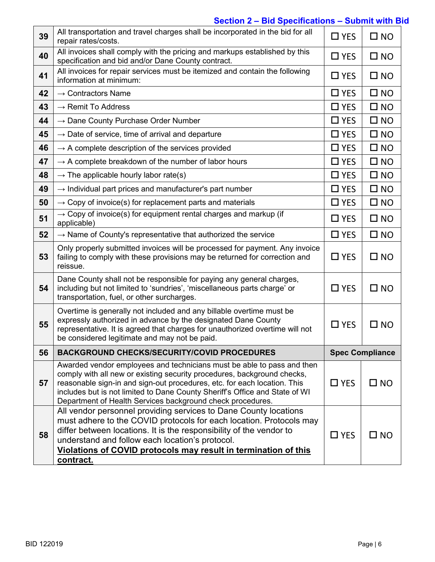| 39 | All transportation and travel charges shall be incorporated in the bid for all<br>repair rates/costs.                                                                                                                                                                                                                                                                      | $\Box$ YES | $\square$ NO           |
|----|----------------------------------------------------------------------------------------------------------------------------------------------------------------------------------------------------------------------------------------------------------------------------------------------------------------------------------------------------------------------------|------------|------------------------|
| 40 | All invoices shall comply with the pricing and markups established by this<br>specification and bid and/or Dane County contract.                                                                                                                                                                                                                                           | $\Box$ YES | $\square$ NO           |
| 41 | All invoices for repair services must be itemized and contain the following<br>information at minimum:                                                                                                                                                                                                                                                                     | $\Box$ YES | $\square$ NO           |
| 42 | $\rightarrow$ Contractors Name                                                                                                                                                                                                                                                                                                                                             | $\Box$ YES | $\square$ NO           |
| 43 | $\rightarrow$ Remit To Address                                                                                                                                                                                                                                                                                                                                             | $\Box$ YES | $\square$ NO           |
| 44 | $\rightarrow$ Dane County Purchase Order Number                                                                                                                                                                                                                                                                                                                            | $\Box$ YES | $\square$ NO           |
| 45 | $\rightarrow$ Date of service, time of arrival and departure                                                                                                                                                                                                                                                                                                               | $\Box$ YES | $\square$ NO           |
| 46 | $\rightarrow$ A complete description of the services provided                                                                                                                                                                                                                                                                                                              | $\Box$ YES | $\square$ NO           |
| 47 | $\rightarrow$ A complete breakdown of the number of labor hours                                                                                                                                                                                                                                                                                                            | $\Box$ YES | $\square$ NO           |
| 48 | $\rightarrow$ The applicable hourly labor rate(s)                                                                                                                                                                                                                                                                                                                          | $\Box$ YES | $\square$ NO           |
| 49 | $\rightarrow$ Individual part prices and manufacturer's part number                                                                                                                                                                                                                                                                                                        | $\Box$ YES | $\square$ NO           |
| 50 | $\rightarrow$ Copy of invoice(s) for replacement parts and materials                                                                                                                                                                                                                                                                                                       | $\Box$ YES | $\square$ NO           |
| 51 | $\rightarrow$ Copy of invoice(s) for equipment rental charges and markup (if<br>applicable)                                                                                                                                                                                                                                                                                | $\Box$ YES | $\square$ NO           |
| 52 | $\rightarrow$ Name of County's representative that authorized the service                                                                                                                                                                                                                                                                                                  | $\Box$ YES | $\square$ NO           |
| 53 | Only properly submitted invoices will be processed for payment. Any invoice<br>failing to comply with these provisions may be returned for correction and<br>reissue.                                                                                                                                                                                                      | $\Box$ YES | $\square$ NO           |
| 54 | Dane County shall not be responsible for paying any general charges,<br>including but not limited to 'sundries', 'miscellaneous parts charge' or<br>transportation, fuel, or other surcharges.                                                                                                                                                                             | $\Box$ YES | $\square$ NO           |
| 55 | Overtime is generally not included and any billable overtime must be<br>expressly authorized in advance by the designated Dane County<br>representative. It is agreed that charges for unauthorized overtime will not<br>be considered legitimate and may not be paid.                                                                                                     | $\Box$ YES | $\square$ NO           |
| 56 | <b>BACKGROUND CHECKS/SECURITY/COVID PROCEDURES</b>                                                                                                                                                                                                                                                                                                                         |            | <b>Spec Compliance</b> |
| 57 | Awarded vendor employees and technicians must be able to pass and then<br>comply with all new or existing security procedures, background checks,<br>reasonable sign-in and sign-out procedures, etc. for each location. This<br>includes but is not limited to Dane County Sheriff's Office and State of WI<br>Department of Health Services background check procedures. | $\Box$ YES | $\square$ NO           |
| 58 | All vendor personnel providing services to Dane County locations<br>must adhere to the COVID protocols for each location. Protocols may<br>differ between locations. It is the responsibility of the vendor to<br>understand and follow each location's protocol.<br>Violations of COVID protocols may result in termination of this<br>contract.                          | $\Box$ YES | $\square$ NO           |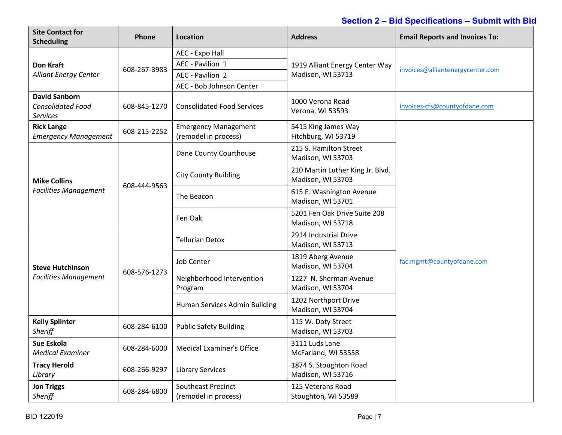| <b>Site Contact for</b><br><b>Scheduling</b>                        | Phone        | <b>Location</b>                                     | <b>Address</b>                                        | <b>Email Reports and Invoices To:</b> |
|---------------------------------------------------------------------|--------------|-----------------------------------------------------|-------------------------------------------------------|---------------------------------------|
|                                                                     |              | AEC - Expo Hall                                     |                                                       |                                       |
| <b>Don Kraft</b>                                                    | 608-267-3983 | AEC - Pavilion 1                                    | 1919 Alliant Energy Center Way                        | invoices@alliantenergycenter.com      |
| <b>Alliant Energy Center</b>                                        |              | AEC - Pavilion 2                                    | Madison, WI 53713                                     |                                       |
|                                                                     |              | AEC - Bob Johnson Center                            |                                                       |                                       |
| <b>David Sanborn</b><br><b>Consolidated Food</b><br><b>Services</b> | 608-845-1270 | <b>Consolidated Food Services</b>                   | 1000 Verona Road<br>Verona, WI 53593                  | invoices-cfs@countyofdane.com         |
| <b>Rick Lange</b><br><b>Emergency Management</b>                    | 608-215-2252 | <b>Emergency Management</b><br>(remodel in process) | 5415 King James Way<br>Fitchburg, WI 53719            |                                       |
|                                                                     |              | Dane County Courthouse                              | 215 S. Hamilton Street<br>Madison, WI 53703           |                                       |
| <b>Mike Collins</b>                                                 | 608-444-9563 | <b>City County Building</b>                         | 210 Martin Luther King Jr. Blvd.<br>Madison, WI 53703 |                                       |
| <b>Facilities Management</b>                                        |              | The Beacon                                          | 615 E. Washington Avenue<br>Madison, WI 53701         |                                       |
|                                                                     |              | Fen Oak                                             | 5201 Fen Oak Drive Suite 208<br>Madison, WI 53718     |                                       |
|                                                                     | 608-576-1273 | <b>Tellurian Detox</b>                              | 2914 Industrial Drive<br>Madison, WI 53713            |                                       |
| <b>Steve Hutchinson</b>                                             |              | <b>Job Center</b>                                   | 1819 Aberg Avenue<br>Madison, WI 53704                | fac.mgmt@countyofdane.com             |
| <b>Facilities Management</b>                                        |              | Neighborhood Intervention<br>Program                | 1227 N. Sherman Avenue<br>Madison, WI 53704           |                                       |
|                                                                     |              | Human Services Admin Building                       | 1202 Northport Drive<br>Madison, WI 53704             |                                       |
| <b>Kelly Splinter</b><br><b>Sheriff</b>                             | 608-284-6100 | <b>Public Safety Building</b>                       | 115 W. Doty Street<br>Madison, WI 53703               |                                       |
| Sue Eskola<br><b>Medical Examiner</b>                               | 608-284-6000 | <b>Medical Examiner's Office</b>                    | 3111 Luds Lane<br>McFarland, WI 53558                 |                                       |
| <b>Tracy Herold</b><br>Library                                      | 608-266-9297 | <b>Library Services</b>                             | 1874 S. Stoughton Road<br>Madison, WI 53716           |                                       |
| <b>Jon Triggs</b><br>Sheriff                                        | 608-284-6800 | Southeast Precinct<br>(remodel in process)          | 125 Veterans Road<br>Stoughton, WI 53589              |                                       |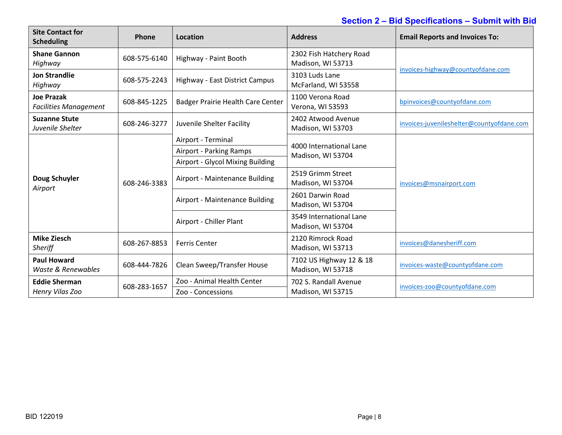| <b>Site Contact for</b><br><b>Scheduling</b>      | Phone        | Location                          | <b>Address</b>                               | <b>Email Reports and Invoices To:</b>     |  |
|---------------------------------------------------|--------------|-----------------------------------|----------------------------------------------|-------------------------------------------|--|
| <b>Shane Gannon</b><br>Highway                    | 608-575-6140 | Highway - Paint Booth             | 2302 Fish Hatchery Road<br>Madison, WI 53713 |                                           |  |
| <b>Jon Strandlie</b><br>Highway                   | 608-575-2243 | Highway - East District Campus    | 3103 Luds Lane<br>McFarland, WI 53558        | invoices-highway@countyofdane.com         |  |
| <b>Joe Prazak</b><br><b>Facilities Management</b> | 608-845-1225 | Badger Prairie Health Care Center | 1100 Verona Road<br>Verona, WI 53593         | bpinvoices@countyofdane.com               |  |
| <b>Suzanne Stute</b><br>Juvenile Shelter          | 608-246-3277 | Juvenile Shelter Facility         | 2402 Atwood Avenue<br>Madison, WI 53703      | invoices-juvenileshelter@countyofdane.com |  |
|                                                   |              | Airport - Terminal                | 4000 International Lane                      | invoices@msnairport.com                   |  |
|                                                   | 608-246-3383 | Airport - Parking Ramps           | Madison, WI 53704                            |                                           |  |
|                                                   |              | Airport - Glycol Mixing Building  |                                              |                                           |  |
| Doug Schuyler<br>Airport                          |              | Airport - Maintenance Building    | 2519 Grimm Street<br>Madison, WI 53704       |                                           |  |
|                                                   |              | Airport - Maintenance Building    | 2601 Darwin Road<br>Madison, WI 53704        |                                           |  |
|                                                   |              | Airport - Chiller Plant           | 3549 International Lane<br>Madison, WI 53704 |                                           |  |
| <b>Mike Ziesch</b><br>Sheriff                     | 608-267-8853 | <b>Ferris Center</b>              | 2120 Rimrock Road<br>Madison, WI 53713       | invoices@danesheriff.com                  |  |
| <b>Paul Howard</b><br>Waste & Renewables          | 608-444-7826 | Clean Sweep/Transfer House        | 7102 US Highway 12 & 18<br>Madison, WI 53718 | invoices-waste@countyofdane.com           |  |
| <b>Eddie Sherman</b>                              | 608-283-1657 | Zoo - Animal Health Center        | 702 S. Randall Avenue                        | invoices-zoo@countyofdane.com             |  |
| Henry Vilas Zoo                                   |              | Zoo - Concessions                 | Madison, WI 53715                            |                                           |  |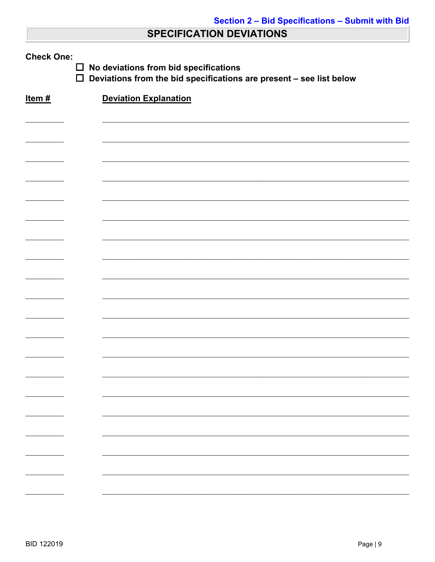## **SPECIFICATION DEVIATIONS**

| <b>Check One:</b><br>No deviations from bid specifications<br>$\Box$<br>$\Box$<br>Deviations from the bid specifications are present - see list below |                              |  |  |  |
|-------------------------------------------------------------------------------------------------------------------------------------------------------|------------------------------|--|--|--|
| Item#                                                                                                                                                 | <b>Deviation Explanation</b> |  |  |  |
|                                                                                                                                                       |                              |  |  |  |
|                                                                                                                                                       |                              |  |  |  |
|                                                                                                                                                       |                              |  |  |  |
|                                                                                                                                                       |                              |  |  |  |
|                                                                                                                                                       |                              |  |  |  |
|                                                                                                                                                       |                              |  |  |  |
|                                                                                                                                                       |                              |  |  |  |
|                                                                                                                                                       |                              |  |  |  |
|                                                                                                                                                       |                              |  |  |  |
|                                                                                                                                                       |                              |  |  |  |
|                                                                                                                                                       |                              |  |  |  |
|                                                                                                                                                       |                              |  |  |  |
|                                                                                                                                                       |                              |  |  |  |
|                                                                                                                                                       |                              |  |  |  |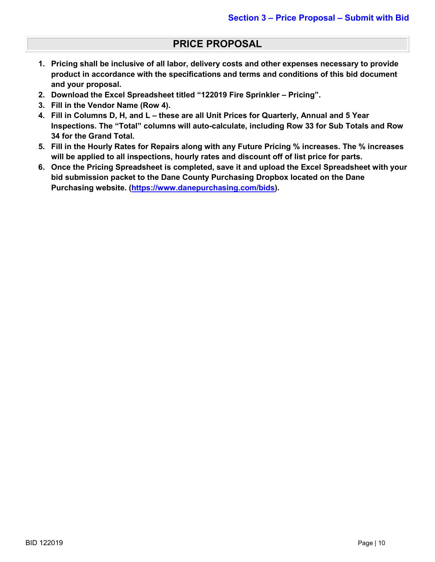### **PRICE PROPOSAL**

- **1. Pricing shall be inclusive of all labor, delivery costs and other expenses necessary to provide product in accordance with the specifications and terms and conditions of this bid document and your proposal.**
- **2. Download the Excel Spreadsheet titled "122019 Fire Sprinkler – Pricing".**
- **3. Fill in the Vendor Name (Row 4).**
- **4. Fill in Columns D, H, and L – these are all Unit Prices for Quarterly, Annual and 5 Year Inspections. The "Total" columns will auto-calculate, including Row 33 for Sub Totals and Row 34 for the Grand Total.**
- **5. Fill in the Hourly Rates for Repairs along with any Future Pricing % increases. The % increases will be applied to all inspections, hourly rates and discount off of list price for parts.**
- **6. Once the Pricing Spreadsheet is completed, save it and upload the Excel Spreadsheet with your bid submission packet to the Dane County Purchasing Dropbox located on the Dane Purchasing website. [\(https://www.danepurchasing.com/bids\)](https://www.danepurchasing.com/bids).**